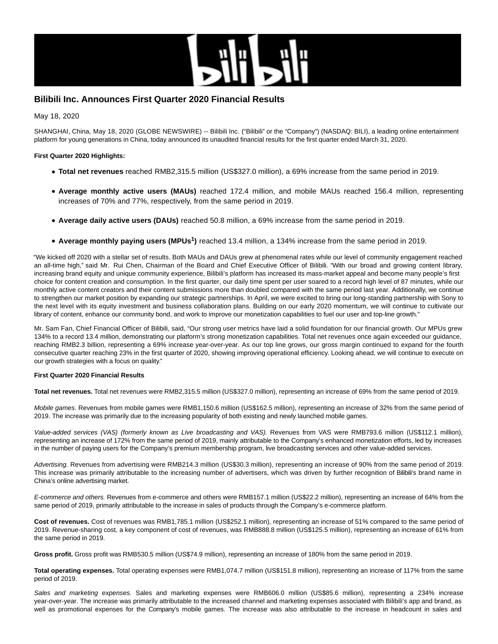

# **Bilibili Inc. Announces First Quarter 2020 Financial Results**

May 18, 2020

SHANGHAI, China, May 18, 2020 (GLOBE NEWSWIRE) -- Bilibili Inc. ("Bilibili" or the "Company") (NASDAQ: BILI), a leading online entertainment platform for young generations in China, today announced its unaudited financial results for the first quarter ended March 31, 2020.

## **First Quarter 2020 Highlights:**

- **Total net revenues** reached RMB2,315.5 million (US\$327.0 million), a 69% increase from the same period in 2019.
- **Average monthly active users (MAUs)** reached 172.4 million, and mobile MAUs reached 156.4 million, representing increases of 70% and 77%, respectively, from the same period in 2019.
- **Average daily active users (DAUs)** reached 50.8 million, a 69% increase from the same period in 2019.
- **Average monthly paying users (MPUs<sup>1</sup> )** reached 13.4 million, a 134% increase from the same period in 2019.

"We kicked off 2020 with a stellar set of results. Both MAUs and DAUs grew at phenomenal rates while our level of community engagement reached an all-time high," said Mr. Rui Chen, Chairman of the Board and Chief Executive Officer of Bilibili. "With our broad and growing content library, increasing brand equity and unique community experience, Bilibili's platform has increased its mass-market appeal and become many people's first choice for content creation and consumption. In the first quarter, our daily time spent per user soared to a record high level of 87 minutes, while our monthly active content creators and their content submissions more than doubled compared with the same period last year. Additionally, we continue to strengthen our market position by expanding our strategic partnerships. In April, we were excited to bring our long-standing partnership with Sony to the next level with its equity investment and business collaboration plans. Building on our early 2020 momentum, we will continue to cultivate our library of content, enhance our community bond, and work to improve our monetization capabilities to fuel our user and top-line growth."

Mr. Sam Fan, Chief Financial Officer of Bilibili, said, "Our strong user metrics have laid a solid foundation for our financial growth. Our MPUs grew 134% to a record 13.4 million, demonstrating our platform's strong monetization capabilities. Total net revenues once again exceeded our guidance, reaching RMB2.3 billion, representing a 69% increase year-over-year. As our top line grows, our gross margin continued to expand for the fourth consecutive quarter reaching 23% in the first quarter of 2020, showing improving operational efficiency. Looking ahead, we will continue to execute on our growth strategies with a focus on quality."

### **First Quarter 2020 Financial Results**

**Total net revenues.** Total net revenues were RMB2,315.5 million (US\$327.0 million), representing an increase of 69% from the same period of 2019.

Mobile games. Revenues from mobile games were RMB1,150.6 million (US\$162.5 million), representing an increase of 32% from the same period of 2019. The increase was primarily due to the increasing popularity of both existing and newly launched mobile games.

Value-added services (VAS) (formerly known as Live broadcasting and VAS). Revenues from VAS were RMB793.6 million (US\$112.1 million), representing an increase of 172% from the same period of 2019, mainly attributable to the Company's enhanced monetization efforts, led by increases in the number of paying users for the Company's premium membership program, live broadcasting services and other value-added services.

Advertising. Revenues from advertising were RMB214.3 million (US\$30.3 million), representing an increase of 90% from the same period of 2019. This increase was primarily attributable to the increasing number of advertisers, which was driven by further recognition of Bilibili's brand name in China's online advertising market.

E-commerce and others. Revenues from e-commerce and others were RMB157.1 million (US\$22.2 million), representing an increase of 64% from the same period of 2019, primarily attributable to the increase in sales of products through the Company's e-commerce platform.

**Cost of revenues.** Cost of revenues was RMB1,785.1 million (US\$252.1 million), representing an increase of 51% compared to the same period of 2019. Revenue-sharing cost, a key component of cost of revenues, was RMB888.8 million (US\$125.5 million), representing an increase of 61% from the same period in 2019.

**Gross profit.** Gross profit was RMB530.5 million (US\$74.9 million), representing an increase of 180% from the same period in 2019.

**Total operating expenses.** Total operating expenses were RMB1,074.7 million (US\$151.8 million), representing an increase of 117% from the same period of 2019.

Sales and marketing expenses. Sales and marketing expenses were RMB606.0 million (US\$85.6 million), representing a 234% increase year-over-year. The increase was primarily attributable to the increased channel and marketing expenses associated with Bilibili's app and brand, as well as promotional expenses for the Company's mobile games. The increase was also attributable to the increase in headcount in sales and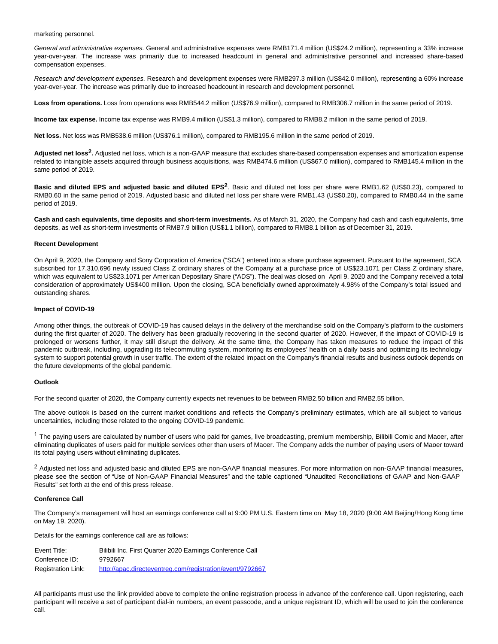marketing personnel.

General and administrative expenses. General and administrative expenses were RMB171.4 million (US\$24.2 million), representing a 33% increase year-over-year. The increase was primarily due to increased headcount in general and administrative personnel and increased share-based compensation expenses.

Research and development expenses. Research and development expenses were RMB297.3 million (US\$42.0 million), representing a 60% increase year-over-year. The increase was primarily due to increased headcount in research and development personnel.

**Loss from operations.** Loss from operations was RMB544.2 million (US\$76.9 million), compared to RMB306.7 million in the same period of 2019.

**Income tax expense.** Income tax expense was RMB9.4 million (US\$1.3 million), compared to RMB8.2 million in the same period of 2019.

**Net loss.** Net loss was RMB538.6 million (US\$76.1 million), compared to RMB195.6 million in the same period of 2019.

**Adjusted net loss2.** Adjusted net loss, which is a non-GAAP measure that excludes share-based compensation expenses and amortization expense related to intangible assets acquired through business acquisitions, was RMB474.6 million (US\$67.0 million), compared to RMB145.4 million in the same period of 2019.

**Basic and diluted EPS and adjusted basic and diluted EPS2**. Basic and diluted net loss per share were RMB1.62 (US\$0.23), compared to RMB0.60 in the same period of 2019. Adjusted basic and diluted net loss per share were RMB1.43 (US\$0.20), compared to RMB0.44 in the same period of 2019.

**Cash and cash equivalents, time deposits and short-term investments.** As of March 31, 2020, the Company had cash and cash equivalents, time deposits, as well as short-term investments of RMB7.9 billion (US\$1.1 billion), compared to RMB8.1 billion as of December 31, 2019.

### **Recent Development**

On April 9, 2020, the Company and Sony Corporation of America ("SCA") entered into a share purchase agreement. Pursuant to the agreement, SCA subscribed for 17,310,696 newly issued Class Z ordinary shares of the Company at a purchase price of US\$23.1071 per Class Z ordinary share, which was equivalent to US\$23.1071 per American Depositary Share ("ADS"). The deal was closed on April 9, 2020 and the Company received a total consideration of approximately US\$400 million. Upon the closing, SCA beneficially owned approximately 4.98% of the Company's total issued and outstanding shares.

### **Impact of COVID-19**

Among other things, the outbreak of COVID-19 has caused delays in the delivery of the merchandise sold on the Company's platform to the customers during the first quarter of 2020. The delivery has been gradually recovering in the second quarter of 2020. However, if the impact of COVID-19 is prolonged or worsens further, it may still disrupt the delivery. At the same time, the Company has taken measures to reduce the impact of this pandemic outbreak, including, upgrading its telecommuting system, monitoring its employees' health on a daily basis and optimizing its technology system to support potential growth in user traffic. The extent of the related impact on the Company's financial results and business outlook depends on the future developments of the global pandemic.

### **Outlook**

For the second quarter of 2020, the Company currently expects net revenues to be between RMB2.50 billion and RMB2.55 billion.

The above outlook is based on the current market conditions and reflects the Company's preliminary estimates, which are all subject to various uncertainties, including those related to the ongoing COVID-19 pandemic.

 $1$  The paying users are calculated by number of users who paid for games, live broadcasting, premium membership, Bilibili Comic and Maoer, after eliminating duplicates of users paid for multiple services other than users of Maoer. The Company adds the number of paying users of Maoer toward its total paying users without eliminating duplicates.

<sup>2</sup> Adjusted net loss and adjusted basic and diluted EPS are non-GAAP financial measures. For more information on non-GAAP financial measures, please see the section of "Use of Non-GAAP Financial Measures" and the table captioned "Unaudited Reconciliations of GAAP and Non-GAAP Results" set forth at the end of this press release.

#### **Conference Call**

The Company's management will host an earnings conference call at 9:00 PM U.S. Eastern time on May 18, 2020 (9:00 AM Beijing/Hong Kong time on May 19, 2020).

Details for the earnings conference call are as follows:

Event Title: Bilibili Inc. First Quarter 2020 Earnings Conference Call Conference ID: 9792667 Registration Link: <http://apac.directeventreg.com/registration/event/9792667>

All participants must use the link provided above to complete the online registration process in advance of the conference call. Upon registering, each participant will receive a set of participant dial-in numbers, an event passcode, and a unique registrant ID, which will be used to join the conference call.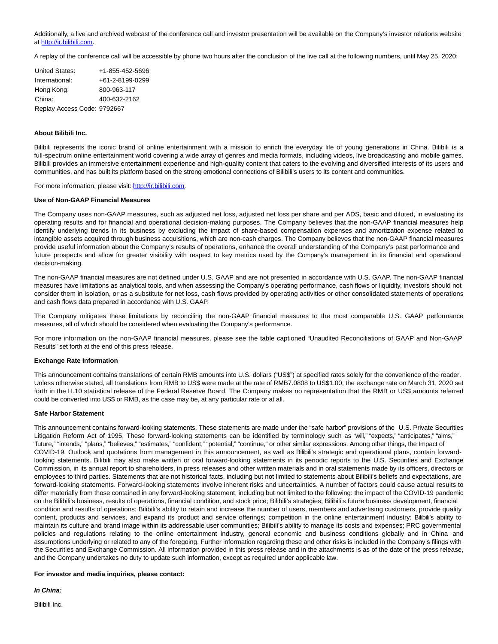Additionally, a live and archived webcast of the conference call and investor presentation will be available on the Company's investor relations website at [http://ir.bilibili.com.](https://www.globenewswire.com/Tracker?data=PVQsmF0l12Hzx7AZ-7ZbSRXLwa7E0zZo8KJ7FCTn7CG_joOxQuwY9HEN4Fsjpust4e2_npENKAcChxEruqwdYDzIKyPQLHL8c-mlPXqNA_4=)

A replay of the conference call will be accessible by phone two hours after the conclusion of the live call at the following numbers, until May 25, 2020:

| <b>United States:</b>       | +1-855-452-5696         |
|-----------------------------|-------------------------|
| International:              | $+61 - 2 - 8199 - 0299$ |
| Hong Kong:                  | 800-963-117             |
| China:                      | 400-632-2162            |
| Replay Access Code: 9792667 |                         |

### **About Bilibili Inc.**

Bilibili represents the iconic brand of online entertainment with a mission to enrich the everyday life of young generations in China. Bilibili is a full-spectrum online entertainment world covering a wide array of genres and media formats, including videos, live broadcasting and mobile games. Bilibili provides an immersive entertainment experience and high-quality content that caters to the evolving and diversified interests of its users and communities, and has built its platform based on the strong emotional connections of Bilibili's users to its content and communities.

For more information, please visit: [http://ir.bilibili.com.](https://www.globenewswire.com/Tracker?data=PVQsmF0l12Hzx7AZ-7ZbSRXLwa7E0zZo8KJ7FCTn7CFOVqZIMtroncn2K_rKJ8cCTTYSbe0i2unpQ8EI1sh0HMqR4yj7x3p2ovLuc8t6Lcw=)

### **Use of Non-GAAP Financial Measures**

The Company uses non-GAAP measures, such as adjusted net loss, adjusted net loss per share and per ADS, basic and diluted, in evaluating its operating results and for financial and operational decision-making purposes. The Company believes that the non-GAAP financial measures help identify underlying trends in its business by excluding the impact of share-based compensation expenses and amortization expense related to intangible assets acquired through business acquisitions, which are non-cash charges. The Company believes that the non-GAAP financial measures provide useful information about the Company's results of operations, enhance the overall understanding of the Company's past performance and future prospects and allow for greater visibility with respect to key metrics used by the Company's management in its financial and operational decision-making.

The non-GAAP financial measures are not defined under U.S. GAAP and are not presented in accordance with U.S. GAAP. The non-GAAP financial measures have limitations as analytical tools, and when assessing the Company's operating performance, cash flows or liquidity, investors should not consider them in isolation, or as a substitute for net loss, cash flows provided by operating activities or other consolidated statements of operations and cash flows data prepared in accordance with U.S. GAAP.

The Company mitigates these limitations by reconciling the non-GAAP financial measures to the most comparable U.S. GAAP performance measures, all of which should be considered when evaluating the Company's performance.

For more information on the non-GAAP financial measures, please see the table captioned "Unaudited Reconciliations of GAAP and Non-GAAP Results" set forth at the end of this press release.

### **Exchange Rate Information**

This announcement contains translations of certain RMB amounts into U.S. dollars ("US\$") at specified rates solely for the convenience of the reader. Unless otherwise stated, all translations from RMB to US\$ were made at the rate of RMB7.0808 to US\$1.00, the exchange rate on March 31, 2020 set forth in the H.10 statistical release of the Federal Reserve Board. The Company makes no representation that the RMB or US\$ amounts referred could be converted into US\$ or RMB, as the case may be, at any particular rate or at all.

#### **Safe Harbor Statement**

This announcement contains forward-looking statements. These statements are made under the "safe harbor" provisions of the U.S. Private Securities Litigation Reform Act of 1995. These forward-looking statements can be identified by terminology such as "will," "expects," "anticipates," "aims," "future," "intends," "plans," "believes," "estimates," "confident," "potential," "continue," or other similar expressions. Among other things, the Impact of COVID-19, Outlook and quotations from management in this announcement, as well as Bilibili's strategic and operational plans, contain forwardlooking statements. Bilibili may also make written or oral forward-looking statements in its periodic reports to the U.S. Securities and Exchange Commission, in its annual report to shareholders, in press releases and other written materials and in oral statements made by its officers, directors or employees to third parties. Statements that are not historical facts, including but not limited to statements about Bilibili's beliefs and expectations, are forward-looking statements. Forward-looking statements involve inherent risks and uncertainties. A number of factors could cause actual results to differ materially from those contained in any forward-looking statement, including but not limited to the following: the impact of the COVID-19 pandemic on the Bilibili's business, results of operations, financial condition, and stock price; Bilibili's strategies; Bilibili's future business development, financial condition and results of operations; Bilibili's ability to retain and increase the number of users, members and advertising customers, provide quality content, products and services, and expand its product and service offerings; competition in the online entertainment industry; Bilibili's ability to maintain its culture and brand image within its addressable user communities; Bilibili's ability to manage its costs and expenses; PRC governmental policies and regulations relating to the online entertainment industry, general economic and business conditions globally and in China and assumptions underlying or related to any of the foregoing. Further information regarding these and other risks is included in the Company's filings with the Securities and Exchange Commission. All information provided in this press release and in the attachments is as of the date of the press release, and the Company undertakes no duty to update such information, except as required under applicable law.

### **For investor and media inquiries, please contact:**

#### **In China:**

Bilibili Inc.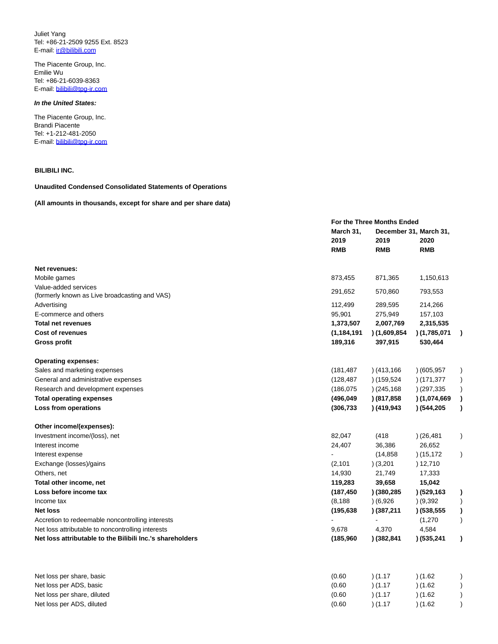Juliet Yang Tel: +86-21-2509 9255 Ext. 8523 E-mail: [ir@bilibili.com](mailto:ir@bilibili.com)

The Piacente Group, Inc. Emilie Wu Tel: +86-21-6039-8363 E-mail: [bilibili@tpg-ir.com](mailto:bilibili@tpg-ir.com)

## **In the United States:**

The Piacente Group, Inc. Brandi Piacente Tel: +1-212-481-2050 E-mail: [bilibili@tpg-ir.com](mailto:bilibili@tpg-ir.com)

# **BILIBILI INC.**

## **Unaudited Condensed Consolidated Statements of Operations**

### **(All amounts in thousands, except for share and per share data)**

|                                                           |               | For the Three Months Ended |                        |               |  |
|-----------------------------------------------------------|---------------|----------------------------|------------------------|---------------|--|
|                                                           | March 31,     |                            | December 31, March 31, |               |  |
|                                                           | 2019          | 2019                       | 2020                   |               |  |
|                                                           | <b>RMB</b>    | <b>RMB</b>                 | <b>RMB</b>             |               |  |
| Net revenues:                                             |               |                            |                        |               |  |
| Mobile games                                              | 873,455       | 871,365                    | 1,150,613              |               |  |
| Value-added services                                      |               |                            |                        |               |  |
| (formerly known as Live broadcasting and VAS)             | 291,652       | 570,860                    | 793,553                |               |  |
| Advertising                                               | 112,499       | 289,595                    | 214,266                |               |  |
| E-commerce and others                                     | 95,901        | 275,949                    | 157,103                |               |  |
| <b>Total net revenues</b>                                 | 1,373,507     | 2,007,769                  | 2,315,535              |               |  |
| <b>Cost of revenues</b>                                   | (1, 184, 191) | (1,609,854)                | (1,785,071)            |               |  |
| Gross profit                                              | 189,316       | 397,915                    | 530,464                |               |  |
| <b>Operating expenses:</b>                                |               |                            |                        |               |  |
| Sales and marketing expenses                              | (181, 487)    | (413, 166)                 | (605, 957)             |               |  |
| General and administrative expenses                       | (128, 487)    | (159, 524)                 | (171, 377)             |               |  |
| Research and development expenses                         | (186, 075)    | (245, 168)                 | (297, 335)             | $\mathcal{L}$ |  |
| <b>Total operating expenses</b>                           | (496,049      | (817, 858)                 | (1,074,669)            | $\lambda$     |  |
| Loss from operations                                      | (306, 733)    | (419, 943)                 | (544, 205)             | $\lambda$     |  |
| Other income/(expenses):                                  |               |                            |                        |               |  |
| Investment income/(loss), net                             | 82,047        | (418)                      | (26, 481)              | $\mathcal{C}$ |  |
| Interest income                                           | 24,407        | 36,386                     | 26,652                 |               |  |
| Interest expense                                          |               | (14, 858)                  | (15, 172)              | $\mathcal{L}$ |  |
| Exchange (losses)/gains                                   | (2, 101)      | (3,201)                    | ) 12,710               |               |  |
| Others, net                                               | 14,930        | 21,749                     | 17,333                 |               |  |
| Total other income, net                                   | 119,283       | 39,658                     | 15,042                 |               |  |
| Loss before income tax                                    | (187, 450)    | ) (380,285                 | (529, 163)             | $\lambda$     |  |
| Income tax                                                | (8, 188)      | (6,926)                    | (9,392)                |               |  |
| <b>Net loss</b>                                           | (195, 638)    | ) (387,211                 | (538, 555)             |               |  |
| Accretion to redeemable noncontrolling interests          |               |                            | (1,270)                | $\mathcal{E}$ |  |
| Net loss attributable to noncontrolling interests         | 9,678         | 4,370                      | 4,584                  |               |  |
| Net loss attributable to the Bilibili Inc.'s shareholders | (185, 960)    | ) (382,841                 | (535, 241)             | $\lambda$     |  |
|                                                           |               |                            |                        |               |  |
| Net loss per share, basic                                 | (0.60)        | (1.17)                     | (1.62)                 |               |  |
| Net loss per ADS, basic                                   | (0.60)        | (1.17)                     | (1.62)                 |               |  |
| Net loss per share, diluted                               | (0.60)        | (1.17)                     | (1.62)                 |               |  |
| Net loss per ADS, diluted                                 | (0.60)        | (1.17)                     | (1.62)                 | $\lambda$     |  |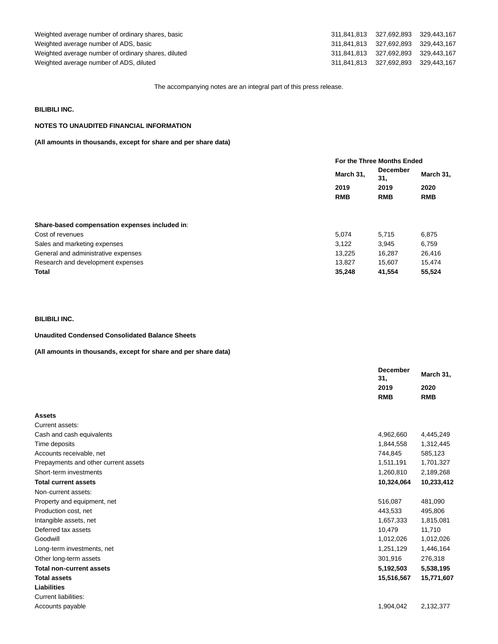Weighted average number of ordinary shares, basic Weighted average number of ADS, basic Weighted average number of ordinary shares, diluted Weighted average number of ADS, diluted

| 311,841,813 | 327.692.893 | 329,443,167 |
|-------------|-------------|-------------|
| 311.841.813 | 327.692.893 | 329.443.167 |
| 311.841.813 | 327.692.893 | 329.443.167 |
| 311.841.813 | 327.692.893 | 329.443.167 |

The accompanying notes are an integral part of this press release.

## **BILIBILI INC.**

# **NOTES TO UNAUDITED FINANCIAL INFORMATION**

## **(All amounts in thousands, except for share and per share data)**

|                                                | For the Three Months Ended |                                              |                                 |
|------------------------------------------------|----------------------------|----------------------------------------------|---------------------------------|
|                                                | March 31,                  | <b>December</b><br>31,<br>2019<br><b>RMB</b> | March 31,<br>2020<br><b>RMB</b> |
|                                                | 2019                       |                                              |                                 |
|                                                | <b>RMB</b>                 |                                              |                                 |
|                                                |                            |                                              |                                 |
| Share-based compensation expenses included in: |                            |                                              |                                 |
| Cost of revenues                               | 5.074                      | 5.715                                        | 6.875                           |
| Sales and marketing expenses                   | 3,122                      | 3,945                                        | 6,759                           |
| General and administrative expenses            | 13,225                     | 16,287                                       | 26,416                          |
| Research and development expenses              | 13.827                     | 15.607                                       | 15,474                          |
| <b>Total</b>                                   | 35.248                     | 41,554                                       | 55,524                          |

# **BILIBILI INC.**

# **Unaudited Condensed Consolidated Balance Sheets**

**(All amounts in thousands, except for share and per share data)**

|                                      | <b>December</b><br>31, | March 31,<br>2020 |  |
|--------------------------------------|------------------------|-------------------|--|
|                                      | 2019                   |                   |  |
|                                      | <b>RMB</b>             | <b>RMB</b>        |  |
| <b>Assets</b>                        |                        |                   |  |
| Current assets:                      |                        |                   |  |
| Cash and cash equivalents            | 4,962,660              | 4,445,249         |  |
| Time deposits                        | 1,844,558              | 1,312,445         |  |
| Accounts receivable, net             | 744,845                | 585,123           |  |
| Prepayments and other current assets | 1,511,191              | 1,701,327         |  |
| Short-term investments               | 1,260,810              | 2,189,268         |  |
| <b>Total current assets</b>          | 10,324,064             | 10,233,412        |  |
| Non-current assets:                  |                        |                   |  |
| Property and equipment, net          | 516.087                | 481,090           |  |
| Production cost, net                 | 443,533                | 495,806           |  |
| Intangible assets, net               | 1,657,333              | 1,815,081         |  |
| Deferred tax assets                  | 10,479                 | 11,710            |  |
| Goodwill                             | 1,012,026              | 1,012,026         |  |
| Long-term investments, net           | 1,251,129              | 1,446,164         |  |
| Other long-term assets               | 301,916                | 276,318           |  |
| <b>Total non-current assets</b>      | 5,192,503              | 5,538,195         |  |
| <b>Total assets</b>                  | 15,516,567             | 15,771,607        |  |
| <b>Liabilities</b>                   |                        |                   |  |
| <b>Current liabilities:</b>          |                        |                   |  |
| Accounts payable                     | 1,904,042              | 2,132,377         |  |
|                                      |                        |                   |  |